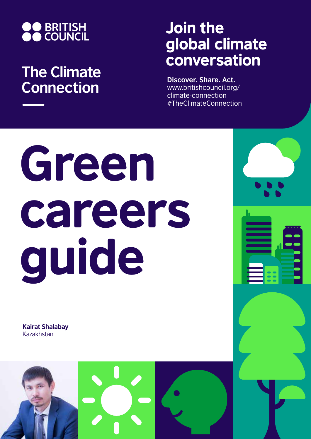

## **The Climate Connection**

## Join the global climate conversation

**Discover. Share. Act.** www.britishcouncil.org/ climate-connection #TheClimateConnection

## Green careers guide

**Kairat Shalabay** Kazakhstan